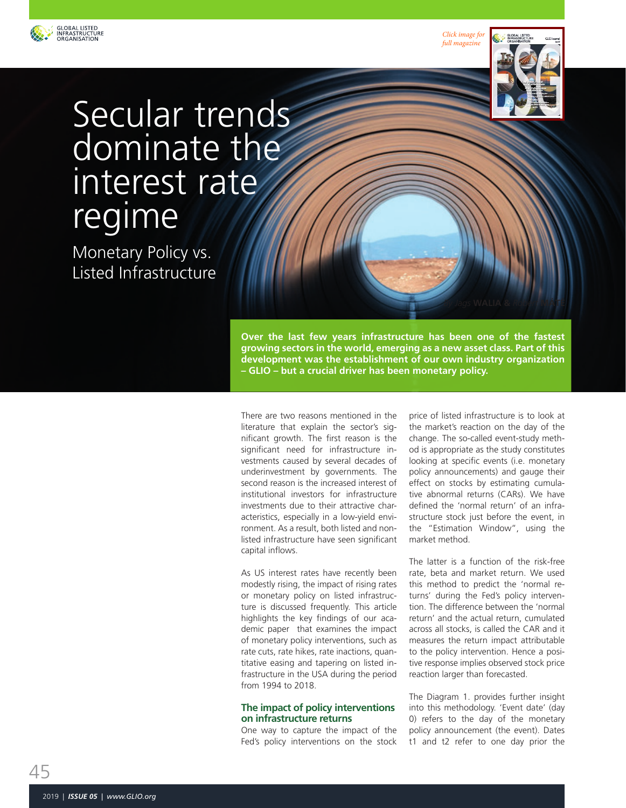

*[Click image for](https://en.calameo.com/read/005185466c0357da9cd9e)  full magazine*



# Secular trends dominate the interest rate regime

Monetary Policy vs. Listed Infrastructure

> **Over the last few years infrastructure has been one of the fastest growing sectors in the world, emerging as a new asset class. Part of this development was the establishment of our own industry organization – GLIO – but a crucial driver has been monetary policy.**

There are two reasons mentioned in the literature that explain the sector's significant growth. The first reason is the significant need for infrastructure investments caused by several decades of underinvestment by governments. The second reason is the increased interest of institutional investors for infrastructure investments due to their attractive characteristics, especially in a low-yield environment. As a result, both listed and nonlisted infrastructure have seen significant capital inflows.

As US interest rates have recently been modestly rising, the impact of rising rates or monetary policy on listed infrastructure is discussed frequently. This article highlights the key findings of our academic paper that examines the impact of monetary policy interventions, such as rate cuts, rate hikes, rate inactions, quantitative easing and tapering on listed infrastructure in the USA during the period from 1994 to 2018.

## **The impact of policy interventions on infrastructure returns**

One way to capture the impact of the Fed's policy interventions on the stock price of listed infrastructure is to look at the market's reaction on the day of the change. The so-called event-study method is appropriate as the study constitutes looking at specific events (i.e. monetary policy announcements) and gauge their effect on stocks by estimating cumulative abnormal returns (CARs). We have defined the 'normal return' of an infrastructure stock just before the event, in the "Estimation Window", using the market method.

*By Jags* **WALIA &** *Robert* **MÁTÉ**

The latter is a function of the risk-free rate, beta and market return. We used this method to predict the 'normal returns' during the Fed's policy intervention. The difference between the 'normal return' and the actual return, cumulated across all stocks, is called the CAR and it measures the return impact attributable to the policy intervention. Hence a positive response implies observed stock price reaction larger than forecasted.

The Diagram 1. provides further insight into this methodology. 'Event date' (day 0) refers to the day of the monetary policy announcement (the event). Dates t1 and t2 refer to one day prior the

45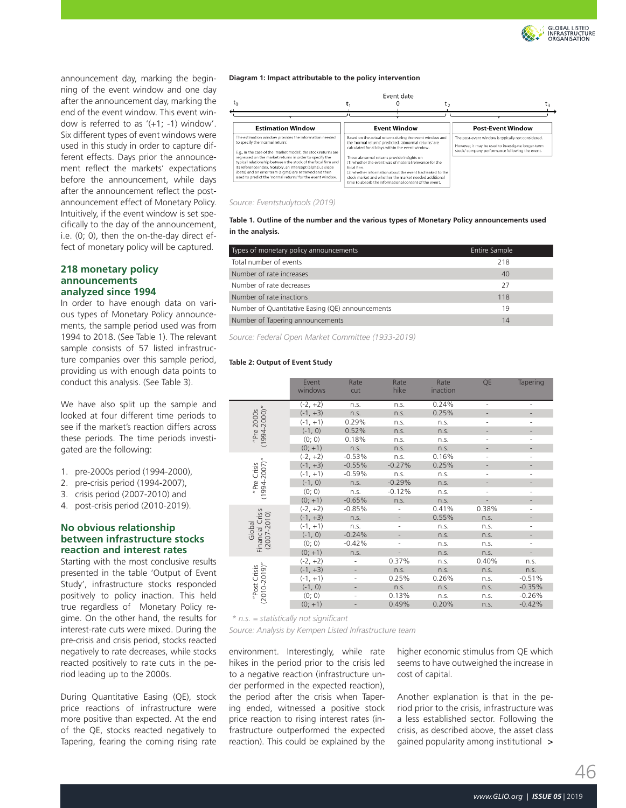

announcement day, marking the beginning of the event window and one day after the announcement day, marking the end of the event window. This event window is referred to as '(+1; -1) window'. Six different types of event windows were used in this study in order to capture different effects. Days prior the announcement reflect the markets' expectations before the announcement, while days after the announcement reflect the postannouncement effect of Monetary Policy. Intuitively, if the event window is set specifically to the day of the announcement, i.e. (0; 0), then the on-the-day direct effect of monetary policy will be captured.

#### **218 monetary policy announcements analyzed since 1994**

In order to have enough data on various types of Monetary Policy announcements, the sample period used was from 1994 to 2018. (See Table 1). The relevant sample consists of 57 listed infrastructure companies over this sample period, providing us with enough data points to conduct this analysis. (See Table 3).

We have also split up the sample and looked at four different time periods to see if the market's reaction differs across these periods. The time periods investigated are the following:

- 1. pre-2000s period (1994-2000),
- 2. pre-crisis period (1994-2007),
- 3. crisis period (2007-2010) and
- 4. post-crisis period (2010-2019).

# **No obvious relationship between infrastructure stocks reaction and interest rates**

Starting with the most conclusive results presented in the table 'Output of Event Study', infrastructure stocks responded positively to policy inaction. This held true regardless of Monetary Policy regime. On the other hand, the results for interest-rate cuts were mixed. During the pre-crisis and crisis period, stocks reacted negatively to rate decreases, while stocks reacted positively to rate cuts in the period leading up to the 2000s.

During Quantitative Easing (QE), stock price reactions of infrastructure were more positive than expected. At the end of the QE, stocks reacted negatively to Tapering, fearing the coming rising rate

**Diagram 1: Impact attributable to the policy intervention**

| ւր                                                                                                                                                                                                                                                                                                                                                                                                                                                                            |                     | Event date                                                                                                                                                                                                                                                                                                                                                                                                                                                     | L۵                                                                                                                                                         |                          |
|-------------------------------------------------------------------------------------------------------------------------------------------------------------------------------------------------------------------------------------------------------------------------------------------------------------------------------------------------------------------------------------------------------------------------------------------------------------------------------|---------------------|----------------------------------------------------------------------------------------------------------------------------------------------------------------------------------------------------------------------------------------------------------------------------------------------------------------------------------------------------------------------------------------------------------------------------------------------------------------|------------------------------------------------------------------------------------------------------------------------------------------------------------|--------------------------|
|                                                                                                                                                                                                                                                                                                                                                                                                                                                                               |                     |                                                                                                                                                                                                                                                                                                                                                                                                                                                                |                                                                                                                                                            |                          |
| <b>Estimation Window</b>                                                                                                                                                                                                                                                                                                                                                                                                                                                      | <b>Event Window</b> |                                                                                                                                                                                                                                                                                                                                                                                                                                                                |                                                                                                                                                            | <b>Post-Event Window</b> |
| The estimation window provides the information needed<br>to specify the 'normal return'.<br>E.g., in the case of the 'market model', the stock returns are<br>regressed on the market returns in order to specify the<br>typical relationship between the stock of the focal firm and<br>its reference index. Notably, an intercept (alpha), a slope<br>(beta) and an error term (sigma) are retrieved and then<br>used to predict the 'normal returns' for the event window. | foral firm.         | Based on the actual returns during the event window and<br>the 'normal returns' predicted. 'abnormal returns' are<br>calculated for all days within the event window.<br>These abnormal returns provide insights on<br>(1) whether the event was of material relevance for the<br>(2) whether information about the event had leaked to the<br>stock market and whether the market needed additional<br>time to absorb the informational content of the event. | The post-event window is typically not considered.<br>However, it may be used to investigate longer-term<br>stock/company performance following the event. |                          |

#### *Source: Eventstudytools (2019)*

**Table 1. Outline of the number and the various types of Monetary Policy announcements used in the analysis.**

| Types of monetary policy announcements           | <b>Entire Sample</b> |  |
|--------------------------------------------------|----------------------|--|
| Total number of events                           | 218                  |  |
| Number of rate increases                         | 40                   |  |
| Number of rate decreases                         | 27                   |  |
| Number of rate inactions                         | 118                  |  |
| Number of Quantitative Easing (QE) announcements | 19                   |  |
| Number of Tapering announcements                 | 14                   |  |

*Source: Federal Open Market Committee (1933-2019)* 

#### **Table 2: Output of Event Study**

|                                               | Event<br>windows | Rate<br>cut                  | Rate<br>hike             | Rate<br>inaction | QE                           | <b>Tapering</b> |
|-----------------------------------------------|------------------|------------------------------|--------------------------|------------------|------------------------------|-----------------|
| $(1994 - 2000)$ "<br>2000s<br>"Pre            | $(-2, +2)$       | n.s.                         | n.s.                     | 0.24%            | $\overline{\phantom{a}}$     | ٠               |
|                                               | $(-1, +3)$       | n.s.                         | n.s.                     | 0.25%            |                              |                 |
|                                               | $(-1, +1)$       | 0.29%                        | n.s.                     | n.s.             | $\qquad \qquad \blacksquare$ | -               |
|                                               | $(-1, 0)$        | 0.52%                        | n.S.                     | n.S.             |                              |                 |
|                                               | (0; 0)           | 0.18%                        | n.s.                     | n.s.             | ٠                            |                 |
|                                               | $(0; +1)$        | n.s.                         | n.s.                     | n.s.             |                              |                 |
| $(1994 - 2007)''$<br>"Pre Crisis              | $(-2, +2)$       | $-0.53%$                     | n.s.                     | 0.16%            | $\overline{\phantom{a}}$     | ٠               |
|                                               | $(-1, +3)$       | $-0.55%$                     | $-0.27%$                 | 0.25%            | $\qquad \qquad \blacksquare$ | -               |
|                                               | $(-1, +1)$       | $-0.59%$                     | n.s.                     | n.s.             | ٠                            | ٠               |
|                                               | $(-1, 0)$        | n.s.                         | $-0.29%$                 | n.s.             | $\overline{\phantom{a}}$     |                 |
|                                               | (0; 0)           | n.s.                         | $-0.12%$                 | n.s.             | $\overline{\phantom{a}}$     | ٠               |
|                                               | $(0; +1)$        | $-0.65%$                     | n.s.                     | n.s.             | $\frac{1}{2}$                | $\overline{a}$  |
| Financial Crisis<br>$(2007 - 2010)$<br>Global | $(-2, +2)$       | $-0.85%$                     |                          | 0.41%            | 0.38%                        | $\bar{ }$       |
|                                               | $(-1, +3)$       | n.S.                         |                          | 0.55%            | n.S.                         |                 |
|                                               | $(-1, +1)$       | n.s.                         | $\overline{\phantom{0}}$ | n.s.             | n.s.                         | ٠               |
|                                               | $(-1, 0)$        | $-0.24%$                     | $\overline{\phantom{m}}$ | n.s.             | n.s.                         | $\overline{a}$  |
|                                               | (0; 0)           | $-0.42%$                     | ۰                        | n.s.             | n.s.                         | -               |
|                                               | $(0; +1)$        | n.s.                         |                          | n.s.             | n.s.                         |                 |
| $(2010 - 2019)^n$<br>"Post Crisis             | $(-2, +2)$       |                              | 0.37%                    | n.s.             | 0.40%                        | n.s.            |
|                                               | $(-1, +3)$       | $\overline{\phantom{0}}$     | n.s.                     | n.s.             | n.s.                         | n.s.            |
|                                               | $(-1, +1)$       | $\overline{a}$               | 0.25%                    | 0.26%            | n.s.                         | $-0.51%$        |
|                                               | $(-1, 0)$        | $\qquad \qquad \blacksquare$ | n.s.                     | n.s.             | n.s.                         | $-0.35%$        |
|                                               | (0; 0)           | ۰                            | 0.13%                    | n.s.             | n.s.                         | $-0.26%$        |
|                                               | $(0; +1)$        |                              | 0.49%                    | 0.20%            | n.s.                         | $-0.42%$        |
|                                               |                  |                              |                          |                  |                              |                 |

*\* n.s. = statistically not significant*

*Source: Analysis by Kempen Listed Infrastructure team*

environment. Interestingly, while rate hikes in the period prior to the crisis led to a negative reaction (infrastructure under performed in the expected reaction), the period after the crisis when Tapering ended, witnessed a positive stock price reaction to rising interest rates (infrastructure outperformed the expected reaction). This could be explained by the higher economic stimulus from QE which seems to have outweighed the increase in cost of capital.

> gained popularity among institutional Another explanation is that in the period prior to the crisis, infrastructure was a less established sector. Following the crisis, as described above, the asset class

46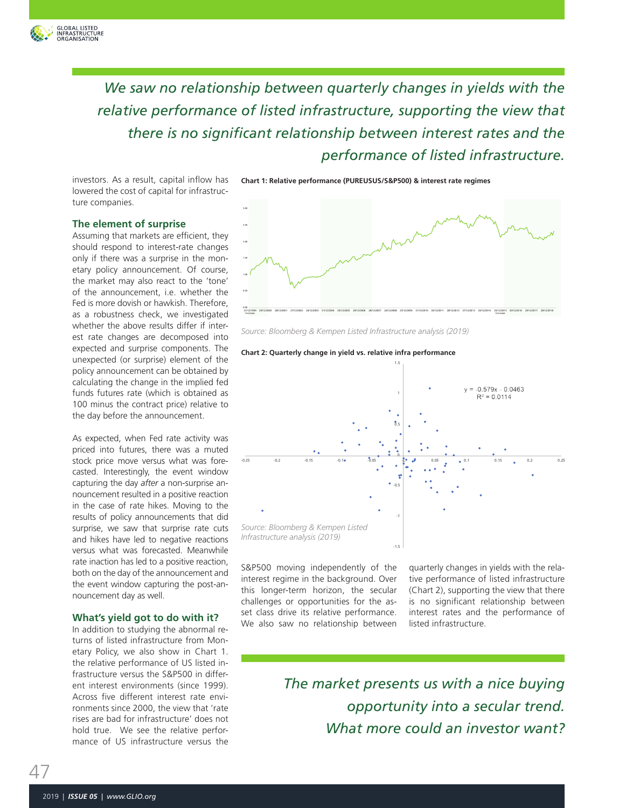

*We saw no relationship between quarterly changes in yields with the relative performance of listed infrastructure, supporting the view that there is no significant relationship between interest rates and the performance of listed infrastructure.*

investors. As a result, capital inflow has lowered the cost of capital for infrastructure companies.

**Chart 1: Relative performance (PUREUSUS/S&P500) & interest rate regimes**

#### **The element of surprise**

Assuming that markets are efficient, they should respond to interest-rate changes only if there was a surprise in the monetary policy announcement. Of course, the market may also react to the 'tone' of the announcement, i.e. whether the Fed is more dovish or hawkish. Therefore, as a robustness check, we investigated whether the above results differ if interest rate changes are decomposed into expected and surprise components. The unexpected (or surprise) element of the policy announcement can be obtained by calculating the change in the implied fed funds futures rate (which is obtained as 100 minus the contract price) relative to the day before the announcement.

As expected, when Fed rate activity was priced into futures, there was a muted stock price move versus what was forecasted. Interestingly, the event window capturing the day *after* a non-surprise announcement resulted in a positive reaction in the case of rate hikes. Moving to the results of policy announcements that did surprise, we saw that surprise rate cuts and hikes have led to negative reactions versus what was forecasted. Meanwhile rate inaction has led to a positive reaction, both on the day of the announcement and the event window capturing the post-announcement day as well.

## **What's yield got to do with it?**

In addition to studying the abnormal returns of listed infrastructure from Monetary Policy, we also show in Chart 1. the relative performance of US listed infrastructure versus the S&P500 in different interest environments (since 1999). Across five different interest rate environments since 2000, the view that 'rate rises are bad for infrastructure' does not hold true. We see the relative performance of US infrastructure versus the



*Source: Bloomberg & Kempen Listed Infrastructure analysis (2019)*

#### Chart 2: Quarterly change in yield vs. relative infra performance



S&P500 moving independently of the interest regime in the background. Over this longer-term horizon, the secular challenges or opportunities for the asset class drive its relative performance. We also saw no relationship between quarterly changes in yields with the relative performance of listed infrastructure (Chart 2), supporting the view that there is no significant relationship between interest rates and the performance of listed infrastructure.

*The market presents us with a nice buying opportunity into a secular trend. What more could an investor want?*